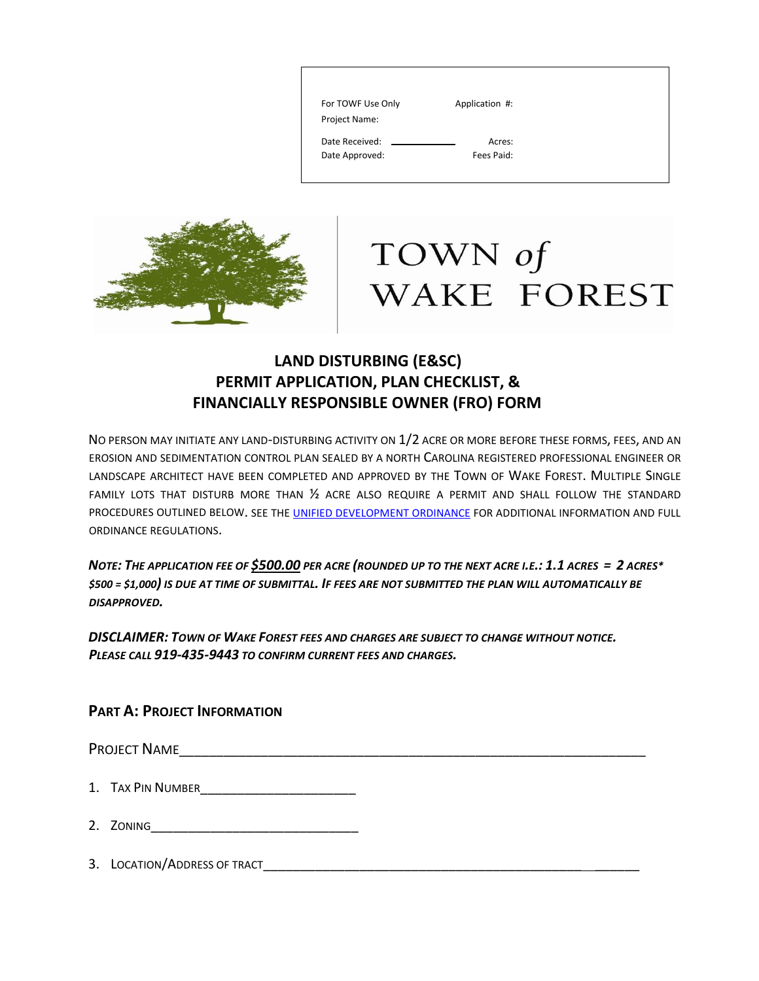| For TOWF Use Only | Application #: |
|-------------------|----------------|
| Project Name:     |                |
| Date Received:    | Acres:         |
| Date Approved:    | Fees Paid:     |
|                   |                |



# TOWN of WAKE FOREST

### **LAND DISTURBING (E&SC) PERMIT APPLICATION, PLAN CHECKLIST, & FINANCIALLY RESPONSIBLE OWNER (FRO) FORM**

NO PERSON MAY INITIATE ANY LAND-DISTURBING ACTIVITY ON 1/2 ACRE OR MORE BEFORE THESE FORMS, FEES, AND AN EROSION AND SEDIMENTATION CONTROL PLAN SEALED BY A NORTH CAROLINA REGISTERED PROFESSIONAL ENGINEER OR LANDSCAPE ARCHITECT HAVE BEEN COMPLETED AND APPROVED BY THE TOWN OF WAKE FOREST. MULTIPLE SINGLE FAMILY LOTS THAT DISTURB MORE THAN ½ ACRE ALSO REQUIRE A PERMIT AND SHALL FOLLOW THE STANDARD PROCEDURES OUTLINED BELOW. SEE THE UNIFIED DEVELOPMENT ORDINANCE FOR ADDITIONAL INFORMATION AND FULL ORDINANCE REGULATIONS.

*NOTE: THE APPLICATION FEE OF \$500.00 PER ACRE (ROUNDED UP TO THE NEXT ACRE I.E.: 1.1 ACRES = 2 ACRES\* \$500 = \$1,000) IS DUE AT TIME OF SUBMITTAL. IF FEES ARE NOT SUBMITTED THE PLAN WILL AUTOMATICALLY BE DISAPPROVED.* 

*DISCLAIMER: TOWN OF WAKE FOREST FEES AND CHARGES ARE SUBJECT TO CHANGE WITHOUT NOTICE. PLEASE CALL 919-435-9443 TO CONFIRM CURRENT FEES AND CHARGES.* 

#### **PART A: PROJECT INFORMATION**

PROJECT NAME

- 2. ZONING\_\_\_\_\_\_\_\_\_\_\_\_\_\_\_\_\_\_\_\_\_\_\_\_\_\_\_\_
- 3. LOCATION/ADDRESS OF TRACT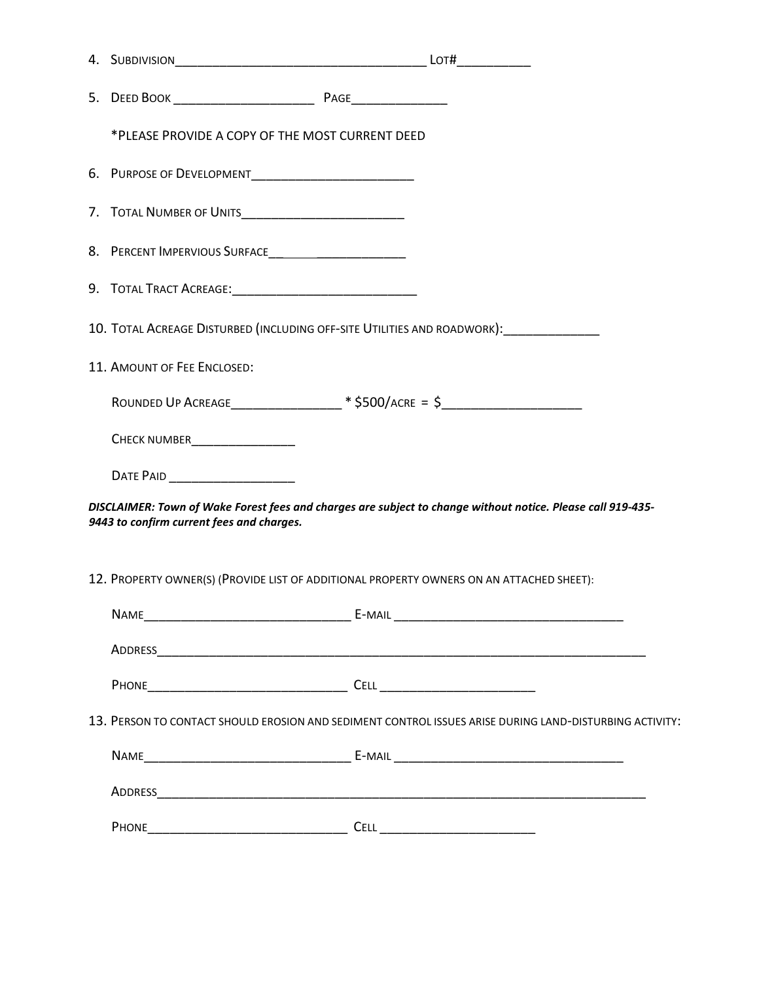| *PLEASE PROVIDE A COPY OF THE MOST CURRENT DEED          |                                                                                                             |
|----------------------------------------------------------|-------------------------------------------------------------------------------------------------------------|
|                                                          |                                                                                                             |
|                                                          |                                                                                                             |
| 8. PERCENT IMPERVIOUS SURFACE___________________________ |                                                                                                             |
|                                                          |                                                                                                             |
|                                                          | 10. TOTAL ACREAGE DISTURBED (INCLUDING OFF-SITE UTILITIES AND ROADWORK):                                    |
| 11. AMOUNT OF FEE ENCLOSED:                              |                                                                                                             |
|                                                          | ROUNDED UP ACREAGE________________* \$500/ACRE = \$_______________________________                          |
| CHECK NUMBER<br><u> </u>                                 |                                                                                                             |
| DATE PAID ________________________                       |                                                                                                             |
| 9443 to confirm current fees and charges.                | DISCLAIMER: Town of Wake Forest fees and charges are subject to change without notice. Please call 919-435- |
|                                                          | 12. PROPERTY OWNER(S) (PROVIDE LIST OF ADDITIONAL PROPERTY OWNERS ON AN ATTACHED SHEET):                    |
| <b>NAME</b>                                              |                                                                                                             |
|                                                          |                                                                                                             |
|                                                          |                                                                                                             |
|                                                          | 13. PERSON TO CONTACT SHOULD EROSION AND SEDIMENT CONTROL ISSUES ARISE DURING LAND-DISTURBING ACTIVITY:     |
|                                                          |                                                                                                             |
|                                                          |                                                                                                             |
|                                                          |                                                                                                             |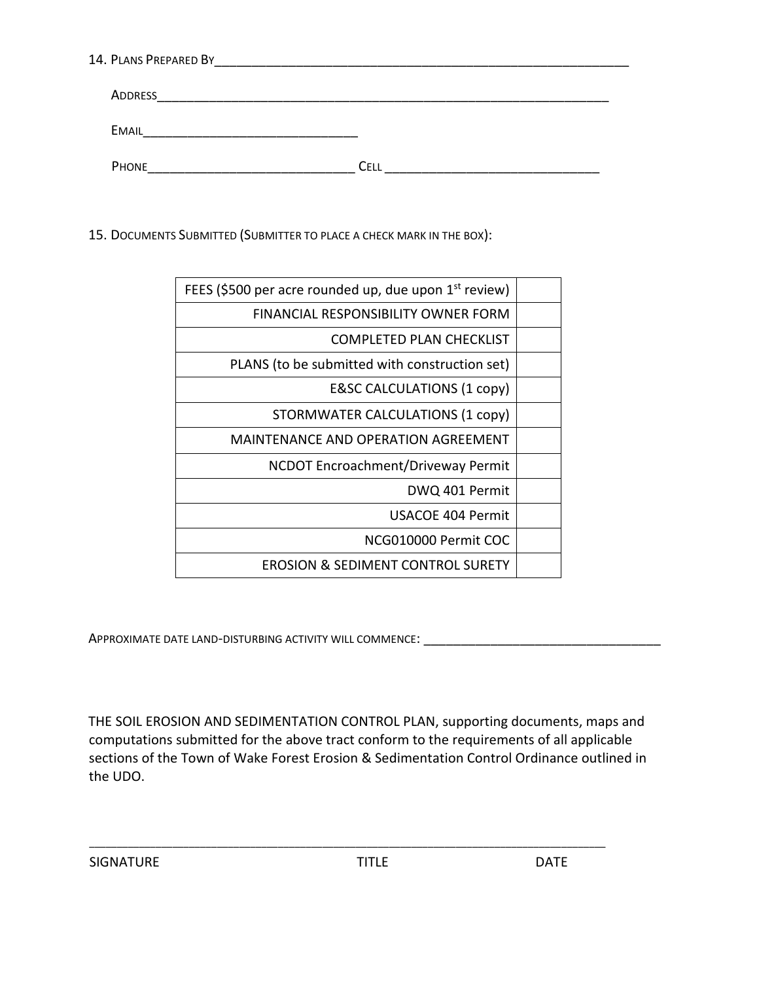| 14. PLANS PREPARED BY |  |
|-----------------------|--|
|                       |  |

| ADDRESS      |     |
|--------------|-----|
| <b>EMAIL</b> |     |
| PHONE        | ∩FI |

15. DOCUMENTS SUBMITTED (SUBMITTER TO PLACE A CHECK MARK IN THE BOX):

| FEES (\$500 per acre rounded up, due upon 1 <sup>st</sup> review) |
|-------------------------------------------------------------------|
| <b>FINANCIAL RESPONSIBILITY OWNER FORM</b>                        |
| <b>COMPLETED PLAN CHECKLIST</b>                                   |
| PLANS (to be submitted with construction set)                     |
| <b>E&amp;SC CALCULATIONS (1 copy)</b>                             |
| STORMWATER CALCULATIONS (1 copy)                                  |
| MAINTENANCE AND OPERATION AGREEMENT                               |
| NCDOT Encroachment/Driveway Permit                                |
| DWQ 401 Permit                                                    |
| USACOE 404 Permit                                                 |
| NCG010000 Permit COC                                              |
| <b>EROSION &amp; SEDIMENT CONTROL SURETY</b>                      |
|                                                                   |

APPROXIMATE DATE LAND-DISTURBING ACTIVITY WILL COMMENCE: \_\_\_\_\_\_\_\_\_\_\_\_\_\_\_\_\_\_\_\_\_\_\_

THE SOIL EROSION AND SEDIMENTATION CONTROL PLAN, supporting documents, maps and computations submitted for the above tract conform to the requirements of all applicable sections of the Town of Wake Forest Erosion & Sedimentation Control Ordinance outlined in the UDO.

\_\_\_\_\_\_\_\_\_\_\_\_\_\_\_\_\_\_\_\_\_\_\_\_\_\_\_\_\_\_\_\_\_\_\_\_\_\_\_\_\_\_\_\_\_\_\_\_\_\_\_\_\_\_\_\_\_\_\_\_\_\_\_\_\_\_\_\_\_\_\_\_\_\_\_\_\_\_\_\_\_\_\_\_\_\_\_\_\_\_\_\_\_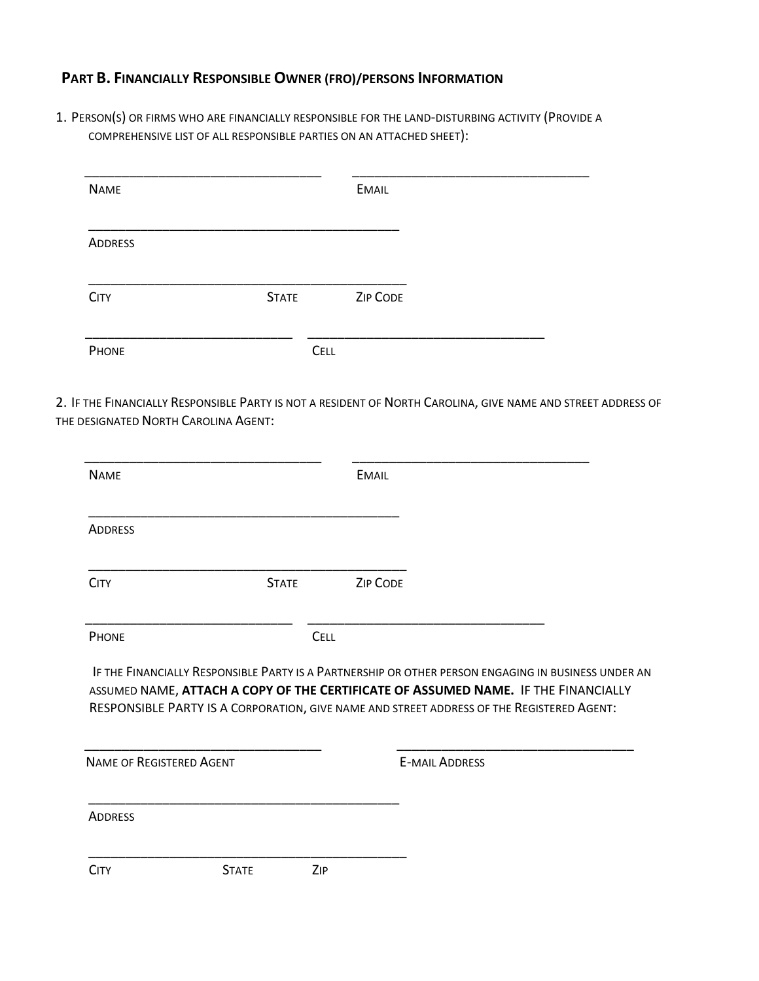#### **PART B. FINANCIALLY RESPONSIBLE OWNER (FRO)/PERSONS INFORMATION**

1. PERSON(S) OR FIRMS WHO ARE FINANCIALLY RESPONSIBLE FOR THE LAND-DISTURBING ACTIVITY (PROVIDE A COMPREHENSIVE LIST OF ALL RESPONSIBLE PARTIES ON AN ATTACHED SHEET):

| <b>NAME</b>    |              | <b>EMAIL</b> |
|----------------|--------------|--------------|
| <b>ADDRESS</b> |              |              |
| <b>CITY</b>    | <b>STATE</b> | ZIP CODE     |
| PHONE          |              | CELL         |

2. IF THE FINANCIALLY RESPONSIBLE PARTY IS NOT A RESIDENT OF NORTH CAROLINA, GIVE NAME AND STREET ADDRESS OF THE DESIGNATED NORTH CAROLINA AGENT:

| <b>NAME</b>                                       |              |             | <b>EMAIL</b>                                                                                                                                                                                                                                                                           |
|---------------------------------------------------|--------------|-------------|----------------------------------------------------------------------------------------------------------------------------------------------------------------------------------------------------------------------------------------------------------------------------------------|
| <b>ADDRESS</b>                                    |              |             |                                                                                                                                                                                                                                                                                        |
| <b>CITY</b>                                       | <b>STATE</b> |             | <b>ZIP CODE</b>                                                                                                                                                                                                                                                                        |
| PHONE                                             |              | <b>CELL</b> |                                                                                                                                                                                                                                                                                        |
|                                                   |              |             |                                                                                                                                                                                                                                                                                        |
|                                                   |              |             | IF THE FINANCIALLY RESPONSIBLE PARTY IS A PARTNERSHIP OR OTHER PERSON ENGAGING IN BUSINESS UNDER AN<br>ASSUMED NAME, ATTACH A COPY OF THE CERTIFICATE OF ASSUMED NAME. IF THE FINANCIALLY<br>RESPONSIBLE PARTY IS A CORPORATION, GIVE NAME AND STREET ADDRESS OF THE REGISTERED AGENT: |
|                                                   |              |             | <b>E-MAIL ADDRESS</b>                                                                                                                                                                                                                                                                  |
| <b>NAME OF REGISTERED AGENT</b><br><b>ADDRESS</b> |              |             |                                                                                                                                                                                                                                                                                        |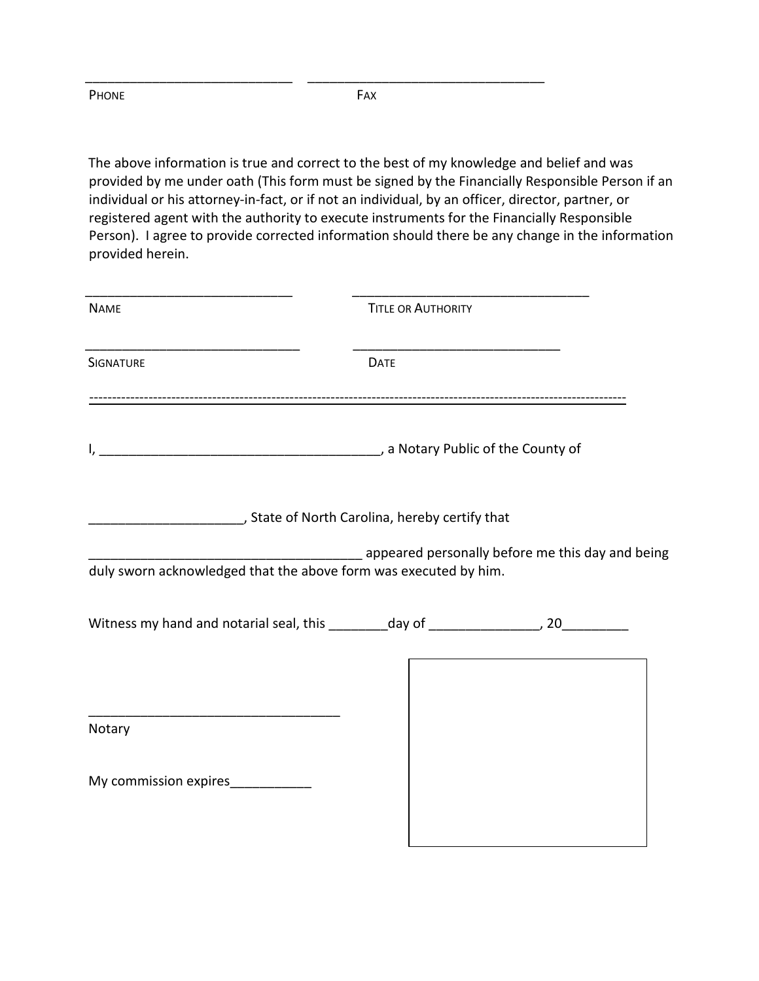PHONE FAX

\_\_\_\_\_\_\_\_\_\_\_\_\_\_\_\_\_\_\_\_\_\_\_\_\_\_\_\_ \_\_\_\_\_\_\_\_\_\_\_\_\_\_\_\_\_\_\_\_\_\_\_\_\_\_\_\_\_\_\_\_

The above information is true and correct to the best of my knowledge and belief and was provided by me under oath (This form must be signed by the Financially Responsible Person if an individual or his attorney-in-fact, or if not an individual, by an officer, director, partner, or registered agent with the authority to execute instruments for the Financially Responsible Person). I agree to provide corrected information should there be any change in the information provided herein.

| <b>NAME</b>                                                                                                                    | <b>TITLE OR AUTHORITY</b> |                                                                                                                |
|--------------------------------------------------------------------------------------------------------------------------------|---------------------------|----------------------------------------------------------------------------------------------------------------|
| <b>SIGNATURE</b>                                                                                                               | <b>DATE</b>               |                                                                                                                |
|                                                                                                                                |                           |                                                                                                                |
|                                                                                                                                |                           |                                                                                                                |
| duly sworn acknowledged that the above form was executed by him.                                                               |                           | appeared personally before me this day and being interconnect appeared personally before me this day and being |
| Witness my hand and notarial seal, this _________day of __________________, 20____________                                     |                           |                                                                                                                |
|                                                                                                                                |                           |                                                                                                                |
| <u> 1989 - Jan James James James James James James James James James James James James James James James James J</u><br>Notary |                           |                                                                                                                |
| My commission expires____________                                                                                              |                           |                                                                                                                |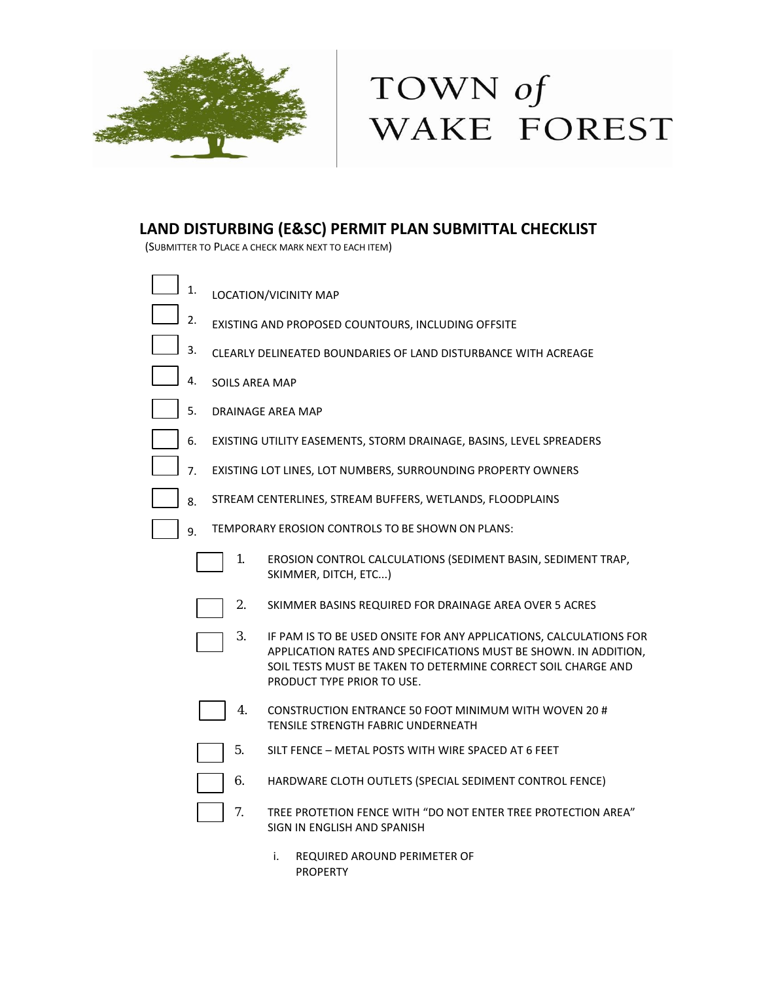

## TOWN of WAKE FOREST

### **LAND DISTURBING (E&SC) PERMIT PLAN SUBMITTAL CHECKLIST**

(SUBMITTER TO PLACE A CHECK MARK NEXT TO EACH ITEM)

| 1. |                                                                | LOCATION/VICINITY MAP                                                                                                                                                                                                                 |  |  |  |
|----|----------------------------------------------------------------|---------------------------------------------------------------------------------------------------------------------------------------------------------------------------------------------------------------------------------------|--|--|--|
| 2. | EXISTING AND PROPOSED COUNTOURS, INCLUDING OFFSITE             |                                                                                                                                                                                                                                       |  |  |  |
| 3. | CLEARLY DELINEATED BOUNDARIES OF LAND DISTURBANCE WITH ACREAGE |                                                                                                                                                                                                                                       |  |  |  |
| 4. | SOILS AREA MAP                                                 |                                                                                                                                                                                                                                       |  |  |  |
| 5. | DRAINAGE AREA MAP                                              |                                                                                                                                                                                                                                       |  |  |  |
| 6. |                                                                | EXISTING UTILITY EASEMENTS, STORM DRAINAGE, BASINS, LEVEL SPREADERS                                                                                                                                                                   |  |  |  |
| 7. |                                                                | EXISTING LOT LINES, LOT NUMBERS, SURROUNDING PROPERTY OWNERS                                                                                                                                                                          |  |  |  |
| 8. |                                                                | STREAM CENTERLINES, STREAM BUFFERS, WETLANDS, FLOODPLAINS                                                                                                                                                                             |  |  |  |
| 9. |                                                                | TEMPORARY EROSION CONTROLS TO BE SHOWN ON PLANS:                                                                                                                                                                                      |  |  |  |
|    | 1.                                                             | EROSION CONTROL CALCULATIONS (SEDIMENT BASIN, SEDIMENT TRAP,<br>SKIMMER, DITCH, ETC)                                                                                                                                                  |  |  |  |
|    | 2.                                                             | SKIMMER BASINS REQUIRED FOR DRAINAGE AREA OVER 5 ACRES                                                                                                                                                                                |  |  |  |
|    | 3.                                                             | IF PAM IS TO BE USED ONSITE FOR ANY APPLICATIONS, CALCULATIONS FOR<br>APPLICATION RATES AND SPECIFICATIONS MUST BE SHOWN. IN ADDITION,<br>SOIL TESTS MUST BE TAKEN TO DETERMINE CORRECT SOIL CHARGE AND<br>PRODUCT TYPE PRIOR TO USE. |  |  |  |
|    | 4.                                                             | CONSTRUCTION ENTRANCE 50 FOOT MINIMUM WITH WOVEN 20#<br>TENSILE STRENGTH FABRIC UNDERNEATH                                                                                                                                            |  |  |  |
|    | 5.                                                             | SILT FENCE - METAL POSTS WITH WIRE SPACED AT 6 FEET                                                                                                                                                                                   |  |  |  |
|    | 6.                                                             | HARDWARE CLOTH OUTLETS (SPECIAL SEDIMENT CONTROL FENCE)                                                                                                                                                                               |  |  |  |
|    | 7.                                                             | TREE PROTETION FENCE WITH "DO NOT ENTER TREE PROTECTION AREA"<br>SIGN IN ENGLISH AND SPANISH                                                                                                                                          |  |  |  |

i. REQUIRED AROUND PERIMETER OF PROPERTY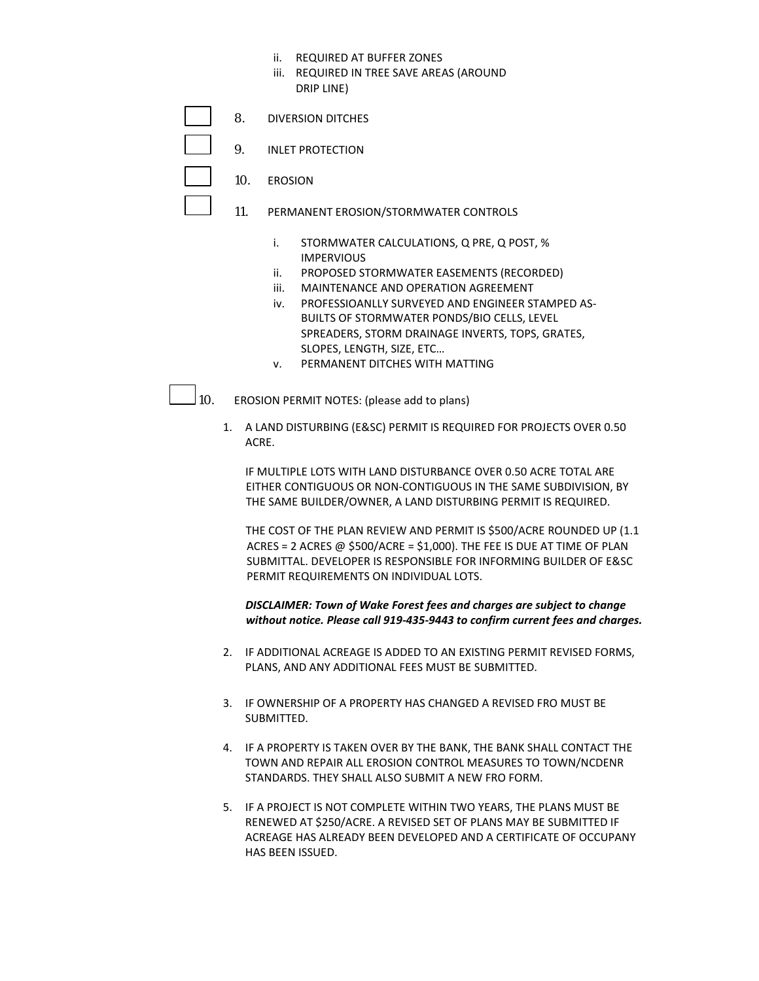- ii. REQUIRED AT BUFFER ZONES
- iii. REQUIRED IN TREE SAVE AREAS (AROUND DRIP LINE)
- 8. DIVERSION DITCHES
	- 9. INLET PROTECTION
	- 10. EROSION
		- 11. PERMANENT EROSION/STORMWATER CONTROLS
			- i. STORMWATER CALCULATIONS, Q PRE, Q POST, % IMPERVIOUS
			- ii. PROPOSED STORMWATER EASEMENTS (RECORDED)
			- iii. MAINTENANCE AND OPERATION AGREEMENT
			- iv. PROFESSIOANLLY SURVEYED AND ENGINEER STAMPED AS-BUILTS OF STORMWATER PONDS/BIO CELLS, LEVEL SPREADERS, STORM DRAINAGE INVERTS, TOPS, GRATES, SLOPES, LENGTH, SIZE, ETC…
			- v. PERMANENT DITCHES WITH MATTING

10. EROSION PERMIT NOTES: (please add to plans)

1. A LAND DISTURBING (E&SC) PERMIT IS REQUIRED FOR PROJECTS OVER 0.50 ACRE.

IF MULTIPLE LOTS WITH LAND DISTURBANCE OVER 0.50 ACRE TOTAL ARE EITHER CONTIGUOUS OR NON-CONTIGUOUS IN THE SAME SUBDIVISION, BY THE SAME BUILDER/OWNER, A LAND DISTURBING PERMIT IS REQUIRED.

THE COST OF THE PLAN REVIEW AND PERMIT IS \$500/ACRE ROUNDED UP (1.1 ACRES = 2 ACRES  $\omega$  \$500/ACRE = \$1,000). THE FEE IS DUE AT TIME OF PLAN SUBMITTAL. DEVELOPER IS RESPONSIBLE FOR INFORMING BUILDER OF E&SC PERMIT REQUIREMENTS ON INDIVIDUAL LOTS.

#### *DISCLAIMER: Town of Wake Forest fees and charges are subject to change without notice. Please call 919-435-9443 to confirm current fees and charges.*

- 2. IF ADDITIONAL ACREAGE IS ADDED TO AN EXISTING PERMIT REVISED FORMS, PLANS, AND ANY ADDITIONAL FEES MUST BE SUBMITTED.
- 3. IF OWNERSHIP OF A PROPERTY HAS CHANGED A REVISED FRO MUST BE SUBMITTED.
- 4. IF A PROPERTY IS TAKEN OVER BY THE BANK, THE BANK SHALL CONTACT THE TOWN AND REPAIR ALL EROSION CONTROL MEASURES TO TOWN/NCDENR STANDARDS. THEY SHALL ALSO SUBMIT A NEW FRO FORM.
- 5. IF A PROJECT IS NOT COMPLETE WITHIN TWO YEARS, THE PLANS MUST BE RENEWED AT \$250/ACRE. A REVISED SET OF PLANS MAY BE SUBMITTED IF ACREAGE HAS ALREADY BEEN DEVELOPED AND A CERTIFICATE OF OCCUPANY HAS BEEN ISSUED.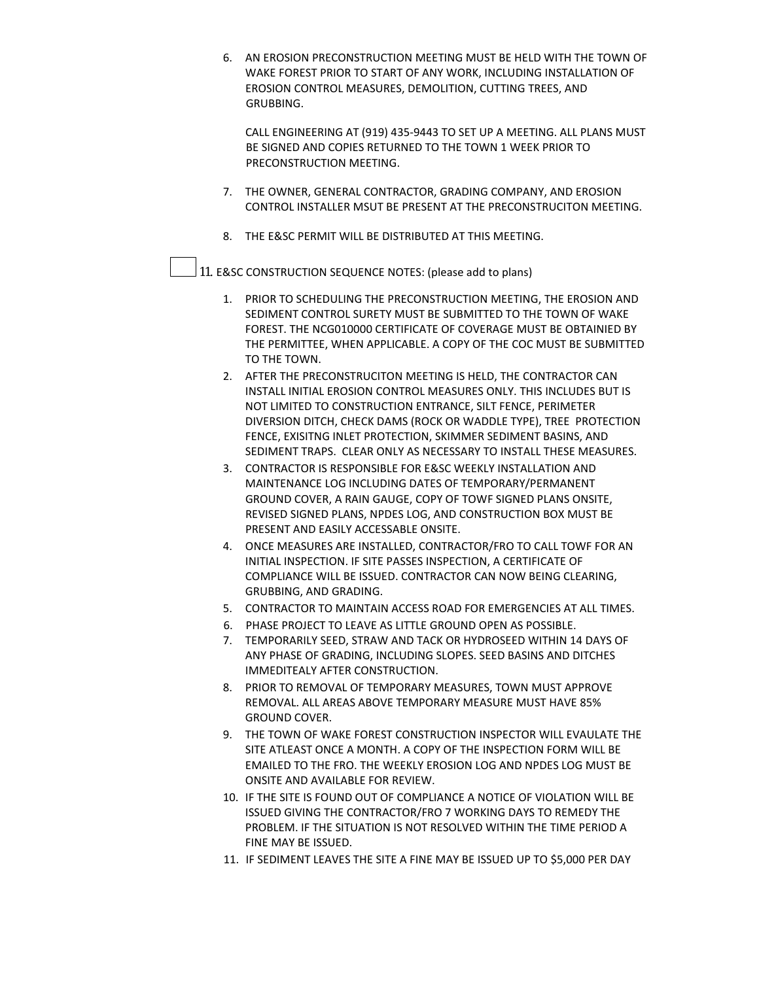6. AN EROSION PRECONSTRUCTION MEETING MUST BE HELD WITH THE TOWN OF WAKE FOREST PRIOR TO START OF ANY WORK, INCLUDING INSTALLATION OF EROSION CONTROL MEASURES, DEMOLITION, CUTTING TREES, AND GRUBBING.

CALL ENGINEERING AT (919) 435-9443 TO SET UP A MEETING. ALL PLANS MUST BE SIGNED AND COPIES RETURNED TO THE TOWN 1 WEEK PRIOR TO PRECONSTRUCTION MEETING.

- 7. THE OWNER, GENERAL CONTRACTOR, GRADING COMPANY, AND EROSION CONTROL INSTALLER MSUT BE PRESENT AT THE PRECONSTRUCITON MEETING.
- 8. THE E&SC PERMIT WILL BE DISTRIBUTED AT THIS MEETING.

11. E&SC CONSTRUCTION SEQUENCE NOTES: (please add to plans)

- 1. PRIOR TO SCHEDULING THE PRECONSTRUCTION MEETING, THE EROSION AND SEDIMENT CONTROL SURETY MUST BE SUBMITTED TO THE TOWN OF WAKE FOREST. THE NCG010000 CERTIFICATE OF COVERAGE MUST BE OBTAINIED BY THE PERMITTEE, WHEN APPLICABLE. A COPY OF THE COC MUST BE SUBMITTED TO THE TOWN.
- 2. AFTER THE PRECONSTRUCITON MEETING IS HELD, THE CONTRACTOR CAN INSTALL INITIAL EROSION CONTROL MEASURES ONLY. THIS INCLUDES BUT IS NOT LIMITED TO CONSTRUCTION ENTRANCE, SILT FENCE, PERIMETER DIVERSION DITCH, CHECK DAMS (ROCK OR WADDLE TYPE), TREE PROTECTION FENCE, EXISITNG INLET PROTECTION, SKIMMER SEDIMENT BASINS, AND SEDIMENT TRAPS. CLEAR ONLY AS NECESSARY TO INSTALL THESE MEASURES.
- 3. CONTRACTOR IS RESPONSIBLE FOR E&SC WEEKLY INSTALLATION AND MAINTENANCE LOG INCLUDING DATES OF TEMPORARY/PERMANENT GROUND COVER, A RAIN GAUGE, COPY OF TOWF SIGNED PLANS ONSITE, REVISED SIGNED PLANS, NPDES LOG, AND CONSTRUCTION BOX MUST BE PRESENT AND EASILY ACCESSABLE ONSITE.
- 4. ONCE MEASURES ARE INSTALLED, CONTRACTOR/FRO TO CALL TOWF FOR AN INITIAL INSPECTION. IF SITE PASSES INSPECTION, A CERTIFICATE OF COMPLIANCE WILL BE ISSUED. CONTRACTOR CAN NOW BEING CLEARING, GRUBBING, AND GRADING.
- 5. CONTRACTOR TO MAINTAIN ACCESS ROAD FOR EMERGENCIES AT ALL TIMES.
- 6. PHASE PROJECT TO LEAVE AS LITTLE GROUND OPEN AS POSSIBLE.
- 7. TEMPORARILY SEED, STRAW AND TACK OR HYDROSEED WITHIN 14 DAYS OF ANY PHASE OF GRADING, INCLUDING SLOPES. SEED BASINS AND DITCHES IMMEDITEALY AFTER CONSTRUCTION.
- 8. PRIOR TO REMOVAL OF TEMPORARY MEASURES, TOWN MUST APPROVE REMOVAL. ALL AREAS ABOVE TEMPORARY MEASURE MUST HAVE 85% GROUND COVER.
- 9. THE TOWN OF WAKE FOREST CONSTRUCTION INSPECTOR WILL EVAULATE THE SITE ATLEAST ONCE A MONTH. A COPY OF THE INSPECTION FORM WILL BE EMAILED TO THE FRO. THE WEEKLY EROSION LOG AND NPDES LOG MUST BE ONSITE AND AVAILABLE FOR REVIEW.
- 10. IF THE SITE IS FOUND OUT OF COMPLIANCE A NOTICE OF VIOLATION WILL BE ISSUED GIVING THE CONTRACTOR/FRO 7 WORKING DAYS TO REMEDY THE PROBLEM. IF THE SITUATION IS NOT RESOLVED WITHIN THE TIME PERIOD A FINE MAY BE ISSUED.
- 11. IF SEDIMENT LEAVES THE SITE A FINE MAY BE ISSUED UP TO \$5,000 PER DAY